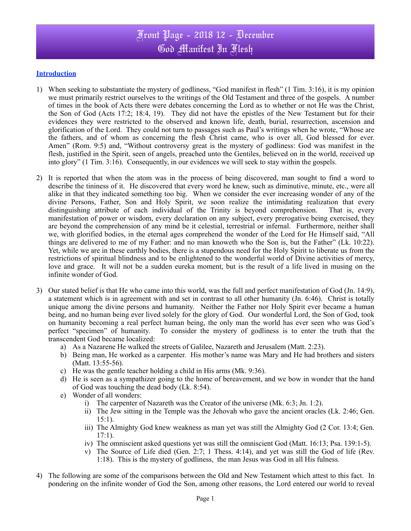# Front Page - 2018 12 - December God Manifest In Flesh

### **Introduction**

- 1) When seeking to substantiate the mystery of godliness, "God manifest in flesh" (1 Tim. 3:16), it is my opinion we must primarily restrict ourselves to the writings of the Old Testament and three of the gospels. A number of times in the book of Acts there were debates concerning the Lord as to whether or not He was the Christ, the Son of God (Acts 17:2; 18:4, 19). They did not have the epistles of the New Testament but for their evidences they were restricted to the observed and known life, death, burial, resurrection, ascension and glorification of the Lord. They could not turn to passages such as Paul's writings when he wrote, "Whose are the fathers, and of whom as concerning the flesh Christ came, who is over all, God blessed for ever. Amen" (Rom. 9:5) and, "Without controversy great is the mystery of godliness: God was manifest in the flesh, justified in the Spirit, seen of angels, preached unto the Gentiles, believed on in the world, received up into glory" (1 Tim. 3:16). Consequently, in our evidences we will seek to stay within the gospels.
- 2) It is reported that when the atom was in the process of being discovered, man sought to find a word to describe the tininess of it. He discovered that every word he knew, such as diminutive, minute, etc., were all alike in that they indicated something too big. When we consider the ever increasing wonder of any of the divine Persons, Father, Son and Holy Spirit, we soon realize the intimidating realization that every distinguishing attribute of each individual of the Trinity is beyond comprehension. That is, every manifestation of power or wisdom, every declaration on any subject, every prerogative being exercised, they are beyond the comprehension of any mind be it celestial, terrestrial or infernal. Furthermore, neither shall we, with glorified bodies, in the eternal ages comprehend the wonder of the Lord for He Himself said, "All things are delivered to me of my Father: and no man knoweth who the Son is, but the Father" (Lk. 10:22). Yet, while we are in these earthly bodies, there is a stupendous need for the Holy Spirit to liberate us from the restrictions of spiritual blindness and to be enlightened to the wonderful world of Divine activities of mercy, love and grace. It will not be a sudden eureka moment, but is the result of a life lived in musing on the infinite wonder of God.
- 3) Our stated belief is that He who came into this world, was the full and perfect manifestation of God (Jn. 14:9), a statement which is in agreement with and set in contrast to all other humanity (Jn. 6:46). Christ is totally unique among the divine persons and humanity. Neither the Father nor Holy Spirit ever became a human being, and no human being ever lived solely for the glory of God. Our wonderful Lord, the Son of God, took on humanity becoming a real perfect human being, the only man the world has ever seen who was God's perfect "specimen" of humanity. To consider the mystery of godliness is to enter the truth that the transcendent God became localized:
	- a) As a Nazarene He walked the streets of Galilee, Nazareth and Jerusalem (Matt. 2:23).
	- b) Being man, He worked as a carpenter. His mother's name was Mary and He had brothers and sisters (Matt. 13:55-56).
	- c) He was the gentle teacher holding a child in His arms (Mk. 9:36).
	- d) He is seen as a sympathizer going to the home of bereavement, and we bow in wonder that the hand of God was touching the dead body (Lk. 8:54).
	- e) Wonder of all wonders:
		- i) The carpenter of Nazareth was the Creator of the universe (Mk. 6:3; Jn. 1:2).
		- ii) The Jew sitting in the Temple was the Jehovah who gave the ancient oracles (Lk. 2:46; Gen. 15:1).
		- iii) The Almighty God knew weakness as man yet was still the Almighty God (2 Cor. 13:4; Gen. 17:1).
		- iv) The omniscient asked questions yet was still the omniscient God (Matt. 16:13; Psa. 139:1-5).
		- v) The Source of Life died (Gen. 2:7; 1 Thess. 4:14), and yet was still the God of life (Rev. 1:18). This is the mystery of godliness, the man Jesus was God in all His fulness.
- 4) The following are some of the comparisons between the Old and New Testament which attest to this fact. In pondering on the infinite wonder of God the Son, among other reasons, the Lord entered our world to reveal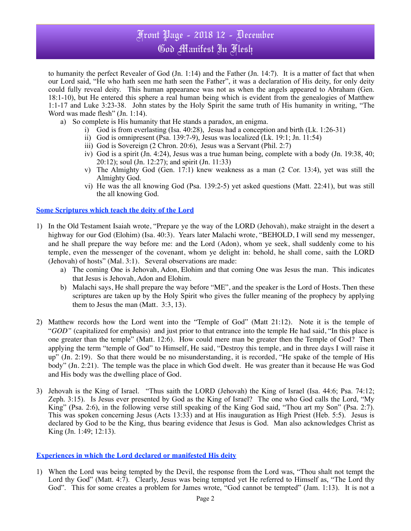### Front Page - 2018 12 - December God Manifest In Flesh

to humanity the perfect Revealer of God (Jn. 1:14) and the Father (Jn. 14:7). It is a matter of fact that when our Lord said, "He who hath seen me hath seen the Father", it was a declaration of His deity, for only deity could fully reveal deity. This human appearance was not as when the angels appeared to Abraham (Gen. 18:1-10), but He entered this sphere a real human being which is evident from the genealogies of Matthew 1:1-17 and Luke 3:23-38. John states by the Holy Spirit the same truth of His humanity in writing, "The Word was made flesh" (Jn. 1:14).

- a) So complete is His humanity that He stands a paradox, an enigma.
	- i) God is from everlasting (Isa.  $40:28$ ), Jesus had a conception and birth (Lk. 1:26-31)
	- ii) God is omnipresent (Psa. 139:7-9), Jesus was localized (Lk. 19:1; Jn. 11:54)
	- iii) God is Sovereign (2 Chron. 20:6), Jesus was a Servant (Phil. 2:7)
	- iv) God is a spirit (Jn. 4:24), Jesus was a true human being, complete with a body (Jn. 19:38, 40; 20:12); soul (Jn. 12:27); and spirit (Jn. 11:33)
	- v) The Almighty God (Gen. 17:1) knew weakness as a man (2 Cor. 13:4), yet was still the Almighty God.
	- vi) He was the all knowing God (Psa. 139:2-5) yet asked questions (Matt. 22:41), but was still the all knowing God.

#### **Some Scriptures which teach the deity of the Lord**

- 1) In the Old Testament Isaiah wrote, "Prepare ye the way of the LORD (Jehovah), make straight in the desert a highway for our God (Elohim) (Isa. 40:3). Years later Malachi wrote, "BEHOLD, I will send my messenger, and he shall prepare the way before me: and the Lord (Adon), whom ye seek, shall suddenly come to his temple, even the messenger of the covenant, whom ye delight in: behold, he shall come, saith the LORD (Jehovah) of hosts" (Mal. 3:1). Several observations are made:
	- a) The coming One is Jehovah, Adon, Elohim and that coming One was Jesus the man. This indicates that Jesus is Jehovah, Adon and Elohim.
	- b) Malachi says, He shall prepare the way before "ME", and the speaker is the Lord of Hosts. Then these scriptures are taken up by the Holy Spirit who gives the fuller meaning of the prophecy by applying them to Jesus the man (Matt. 3:3, 13).
- 2) Matthew records how the Lord went into the "Temple of God" (Matt 21:12). Note it is the temple of "*GOD"* (capitalized for emphasis) and just prior to that entrance into the temple He had said, "In this place is one greater than the temple" (Matt. 12:6). How could mere man be greater then the Temple of God? Then applying the term "temple of God" to Himself, He said, "Destroy this temple, and in three days I will raise it up" (Jn. 2:19). So that there would be no misunderstanding, it is recorded, "He spake of the temple of His body" (Jn. 2:21). The temple was the place in which God dwelt. He was greater than it because He was God and His body was the dwelling place of God.
- 3) Jehovah is the King of Israel. "Thus saith the LORD (Jehovah) the King of Israel (Isa. 44:6; Psa. 74:12; Zeph. 3:15). Is Jesus ever presented by God as the King of Israel? The one who God calls the Lord, "My King" (Psa. 2:6), in the following verse still speaking of the King God said, "Thou art my Son" (Psa. 2:7). This was spoken concerning Jesus (Acts 13:33) and at His inauguration as High Priest (Heb. 5:5). Jesus is declared by God to be the King, thus bearing evidence that Jesus is God. Man also acknowledges Christ as King (Jn. 1:49; 12:13).

#### **Experiences in which the Lord declared or manifested His deity**

1) When the Lord was being tempted by the Devil, the response from the Lord was, "Thou shalt not tempt the Lord thy God" (Matt. 4:7). Clearly, Jesus was being tempted yet He referred to Himself as, "The Lord thy God". This for some creates a problem for James wrote, "God cannot be tempted" (Jam. 1:13). It is not a